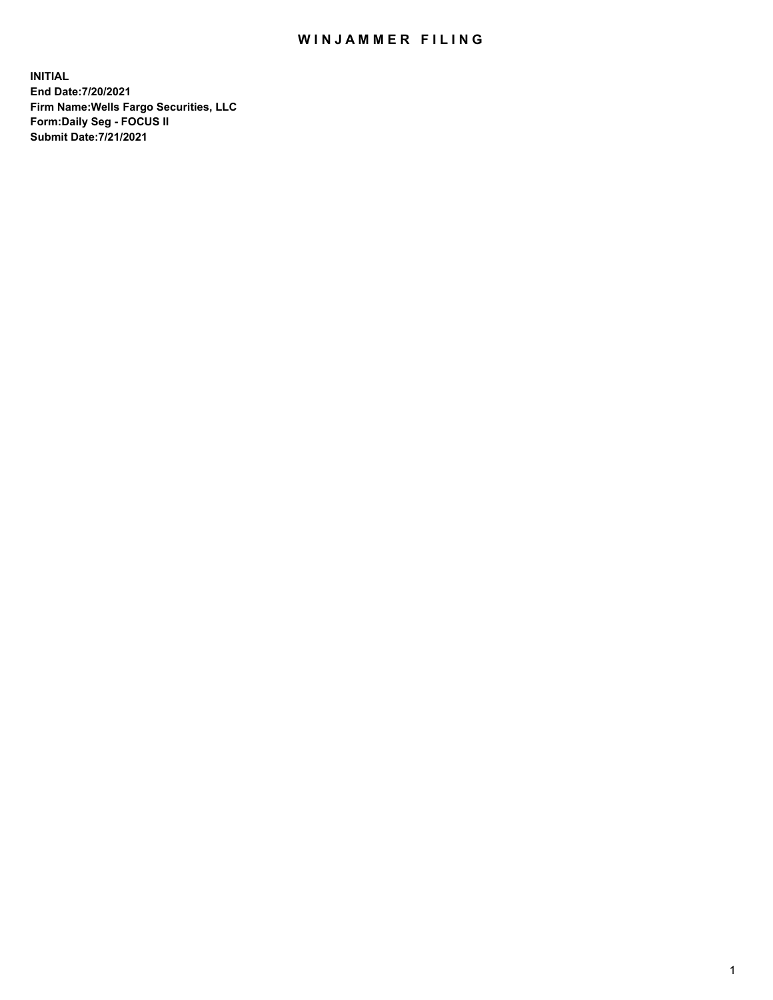## WIN JAMMER FILING

**INITIAL End Date:7/20/2021 Firm Name:Wells Fargo Securities, LLC Form:Daily Seg - FOCUS II Submit Date:7/21/2021**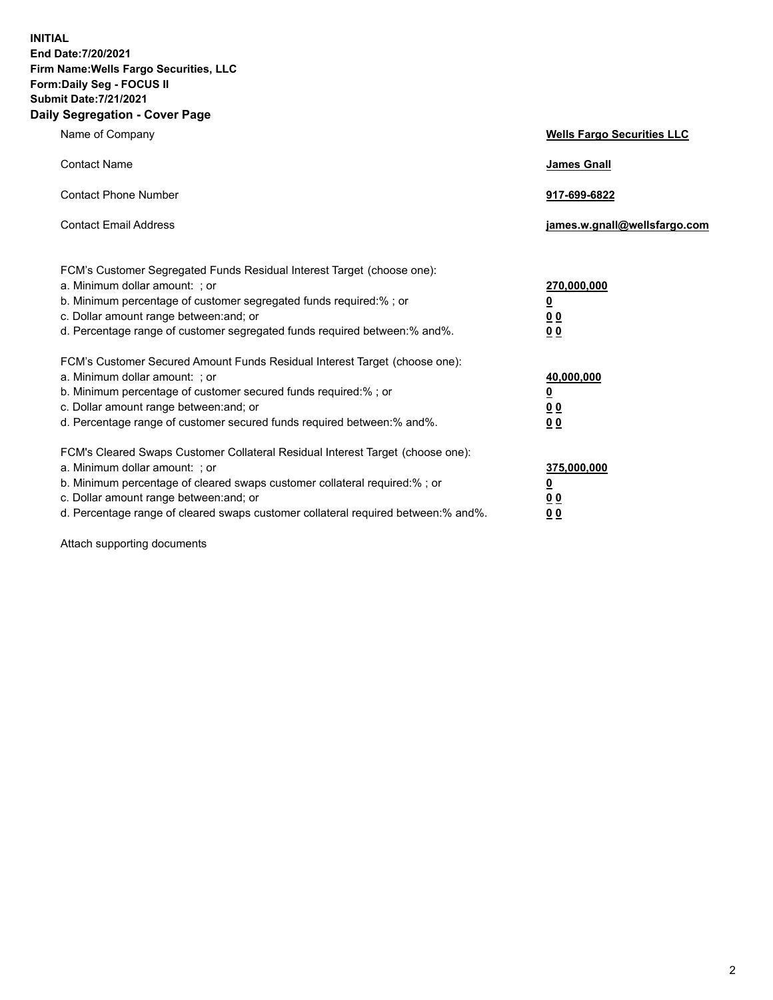**INITIAL End Date:7/20/2021 Firm Name:Wells Fargo Securities, LLC Form:Daily Seg - FOCUS II Submit Date:7/21/2021 Daily Segregation - Cover Page**

| Name of Company                                                                                                                                                                                                                                                                                                                | <b>Wells Fargo Securities LLC</b>                                         |
|--------------------------------------------------------------------------------------------------------------------------------------------------------------------------------------------------------------------------------------------------------------------------------------------------------------------------------|---------------------------------------------------------------------------|
| <b>Contact Name</b>                                                                                                                                                                                                                                                                                                            | <b>James Gnall</b>                                                        |
| <b>Contact Phone Number</b>                                                                                                                                                                                                                                                                                                    | 917-699-6822                                                              |
| <b>Contact Email Address</b>                                                                                                                                                                                                                                                                                                   | james.w.gnall@wellsfargo.com                                              |
| FCM's Customer Segregated Funds Residual Interest Target (choose one):<br>a. Minimum dollar amount: ; or<br>b. Minimum percentage of customer segregated funds required:% ; or<br>c. Dollar amount range between: and; or<br>d. Percentage range of customer segregated funds required between:% and%.                         | 270,000,000<br>$\overline{\mathbf{0}}$<br>0 <sub>0</sub><br>00            |
| FCM's Customer Secured Amount Funds Residual Interest Target (choose one):<br>a. Minimum dollar amount: ; or<br>b. Minimum percentage of customer secured funds required:%; or<br>c. Dollar amount range between: and; or<br>d. Percentage range of customer secured funds required between:% and%.                            | 40,000,000<br>$\overline{\mathbf{0}}$<br>0 <sub>0</sub><br>0 <sub>0</sub> |
| FCM's Cleared Swaps Customer Collateral Residual Interest Target (choose one):<br>a. Minimum dollar amount: ; or<br>b. Minimum percentage of cleared swaps customer collateral required:% ; or<br>c. Dollar amount range between: and; or<br>d. Percentage range of cleared swaps customer collateral required between:% and%. | 375,000,000<br><u>0</u><br>00<br>00                                       |

Attach supporting documents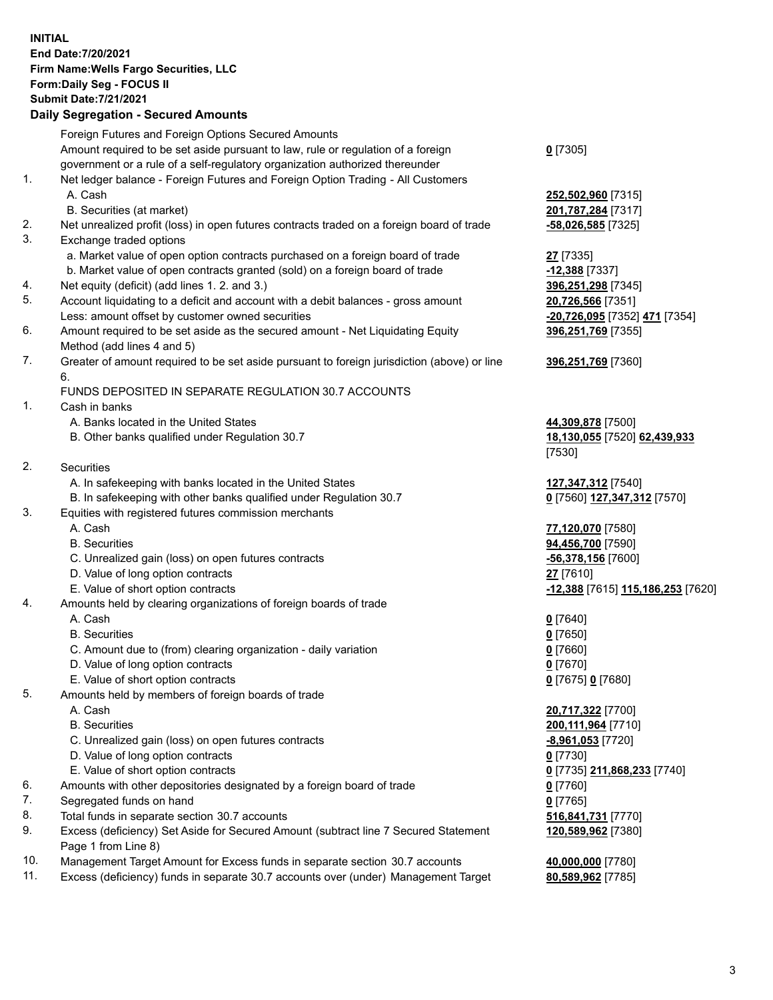**INITIAL End Date:7/20/2021 Firm Name:Wells Fargo Securities, LLC Form:Daily Seg - FOCUS II Submit Date:7/21/2021**

## **Daily Segregation - Secured Amounts**

|    | Foreign Futures and Foreign Options Secured Amounts                                                          |                                   |
|----|--------------------------------------------------------------------------------------------------------------|-----------------------------------|
|    | Amount required to be set aside pursuant to law, rule or regulation of a foreign                             | $0$ [7305]                        |
|    | government or a rule of a self-regulatory organization authorized thereunder                                 |                                   |
| 1. | Net ledger balance - Foreign Futures and Foreign Option Trading - All Customers                              |                                   |
|    | A. Cash                                                                                                      | 252,502,960 [7315]                |
|    | B. Securities (at market)                                                                                    | 201,787,284 [7317]                |
| 2. | Net unrealized profit (loss) in open futures contracts traded on a foreign board of trade                    | $-58,026,585$ [7325]              |
| 3. | Exchange traded options                                                                                      |                                   |
|    |                                                                                                              |                                   |
|    | a. Market value of open option contracts purchased on a foreign board of trade                               | 27 [7335]                         |
|    | b. Market value of open contracts granted (sold) on a foreign board of trade                                 | $-12,388$ [7337]                  |
| 4. | Net equity (deficit) (add lines 1. 2. and 3.)                                                                | 396,251,298 [7345]                |
| 5. | Account liquidating to a deficit and account with a debit balances - gross amount                            | 20,726,566 [7351]                 |
|    | Less: amount offset by customer owned securities                                                             | -20,726,095 [7352] 471 [7354]     |
| 6. | Amount required to be set aside as the secured amount - Net Liquidating Equity<br>Method (add lines 4 and 5) | 396,251,769 [7355]                |
| 7. | Greater of amount required to be set aside pursuant to foreign jurisdiction (above) or line                  | 396,251,769 [7360]                |
|    | 6.                                                                                                           |                                   |
|    | FUNDS DEPOSITED IN SEPARATE REGULATION 30.7 ACCOUNTS                                                         |                                   |
| 1. | Cash in banks                                                                                                |                                   |
|    | A. Banks located in the United States                                                                        | 44,309,878 [7500]                 |
|    | B. Other banks qualified under Regulation 30.7                                                               | 18,130,055 [7520] 62,439,933      |
|    |                                                                                                              | [7530]                            |
| 2. | <b>Securities</b>                                                                                            |                                   |
|    | A. In safekeeping with banks located in the United States                                                    | 127,347,312 [7540]                |
|    | B. In safekeeping with other banks qualified under Regulation 30.7                                           | 0 [7560] 127,347,312 [7570]       |
| 3. | Equities with registered futures commission merchants                                                        |                                   |
|    | A. Cash                                                                                                      | 77,120,070 [7580]                 |
|    | <b>B.</b> Securities                                                                                         | 94,456,700 [7590]                 |
|    | C. Unrealized gain (loss) on open futures contracts                                                          | -56,378,156 [7600]                |
|    | D. Value of long option contracts                                                                            | 27 [7610]                         |
|    | E. Value of short option contracts                                                                           | -12,388 [7615] 115,186,253 [7620] |
| 4. | Amounts held by clearing organizations of foreign boards of trade                                            |                                   |
|    | A. Cash                                                                                                      | $0$ [7640]                        |
|    | <b>B.</b> Securities                                                                                         | $0$ [7650]                        |
|    | C. Amount due to (from) clearing organization - daily variation                                              | $0$ [7660]                        |
|    | D. Value of long option contracts                                                                            | $0$ [7670]                        |
|    | E. Value of short option contracts                                                                           | 0 [7675] 0 [7680]                 |
| 5. | Amounts held by members of foreign boards of trade                                                           |                                   |
|    | A. Cash                                                                                                      | 20,717,322 [7700]                 |
|    | <b>B.</b> Securities                                                                                         | 200, 111, 964 [7710]              |
|    | C. Unrealized gain (loss) on open futures contracts                                                          |                                   |
|    | D. Value of long option contracts                                                                            | -8,961,053 [7720]                 |
|    | E. Value of short option contracts                                                                           | $0$ [7730]                        |
|    |                                                                                                              | 0 [7735] 211,868,233 [7740]       |
| 6. | Amounts with other depositories designated by a foreign board of trade                                       | $0$ [7760]                        |
| 7. | Segregated funds on hand                                                                                     | $0$ [7765]                        |
| 8. | Total funds in separate section 30.7 accounts                                                                | 516,841,731 [7770]                |
| 9. | Excess (deficiency) Set Aside for Secured Amount (subtract line 7 Secured Statement                          | 120,589,962 [7380]                |
|    | Page 1 from Line 8)                                                                                          |                                   |

- 10. Management Target Amount for Excess funds in separate section 30.7 accounts **40,000,000** [7780]
- 11. Excess (deficiency) funds in separate 30.7 accounts over (under) Management Target **80,589,962** [7785]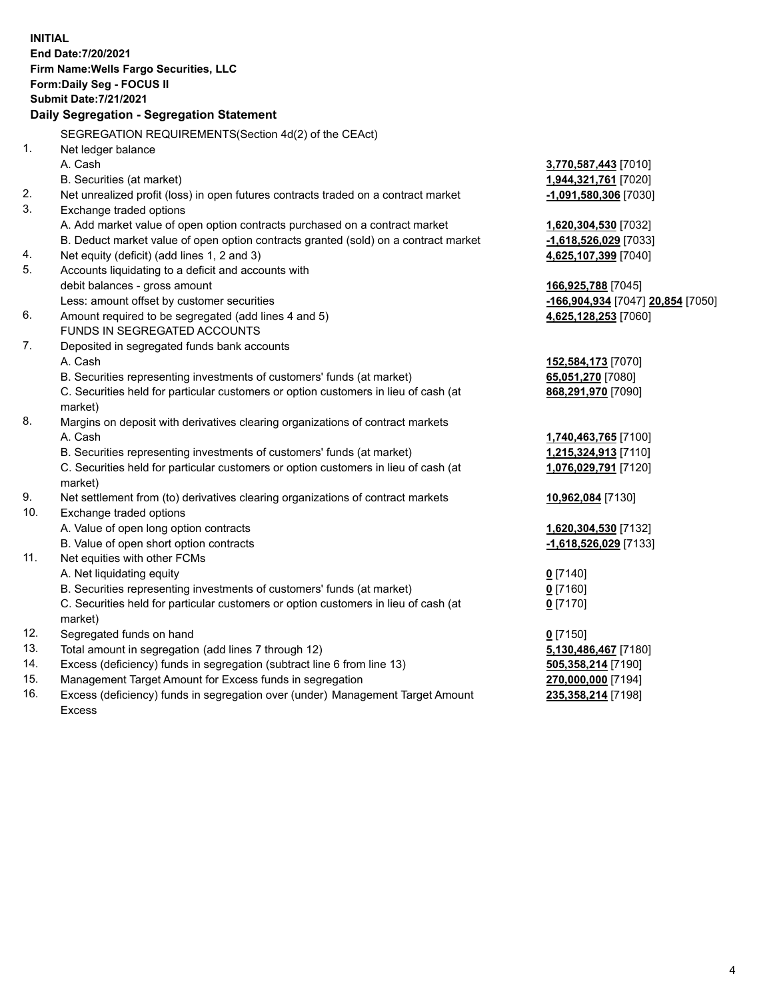**INITIAL End Date:7/20/2021 Firm Name:Wells Fargo Securities, LLC Form:Daily Seg - FOCUS II Submit Date:7/21/2021 Daily Segregation - Segregation Statement** SEGREGATION REQUIREMENTS(Section 4d(2) of the CEAct) 1. Net ledger balance A. Cash **3,770,587,443** [7010] B. Securities (at market) **1,944,321,761** [7020] 2. Net unrealized profit (loss) in open futures contracts traded on a contract market **-1,091,580,306** [7030] 3. Exchange traded options A. Add market value of open option contracts purchased on a contract market **1,620,304,530** [7032] B. Deduct market value of open option contracts granted (sold) on a contract market **-1,618,526,029** [7033] 4. Net equity (deficit) (add lines 1, 2 and 3) **4,625,107,399** [7040] 5. Accounts liquidating to a deficit and accounts with debit balances - gross amount **166,925,788** [7045] Less: amount offset by customer securities **-166,904,934** [7047] **20,854** [7050] 6. Amount required to be segregated (add lines 4 and 5) **4,625,128,253** [7060] FUNDS IN SEGREGATED ACCOUNTS 7. Deposited in segregated funds bank accounts A. Cash **152,584,173** [7070] B. Securities representing investments of customers' funds (at market) **65,051,270** [7080] C. Securities held for particular customers or option customers in lieu of cash (at market) **868,291,970** [7090] 8. Margins on deposit with derivatives clearing organizations of contract markets A. Cash **1,740,463,765** [7100] B. Securities representing investments of customers' funds (at market) **1,215,324,913** [7110] C. Securities held for particular customers or option customers in lieu of cash (at market) **1,076,029,791** [7120] 9. Net settlement from (to) derivatives clearing organizations of contract markets **10,962,084** [7130] 10. Exchange traded options A. Value of open long option contracts **1,620,304,530** [7132] B. Value of open short option contracts **-1,618,526,029** [7133] 11. Net equities with other FCMs A. Net liquidating equity **0** [7140] B. Securities representing investments of customers' funds (at market) **0** [7160] C. Securities held for particular customers or option customers in lieu of cash (at market) **0** [7170] 12. Segregated funds on hand **0** [7150] 13. Total amount in segregation (add lines 7 through 12) **5,130,486,467** [7180] 14. Excess (deficiency) funds in segregation (subtract line 6 from line 13) **505,358,214** [7190] 15. Management Target Amount for Excess funds in segregation **270,000,000** [7194] **235,358,214** [7198]

16. Excess (deficiency) funds in segregation over (under) Management Target Amount Excess